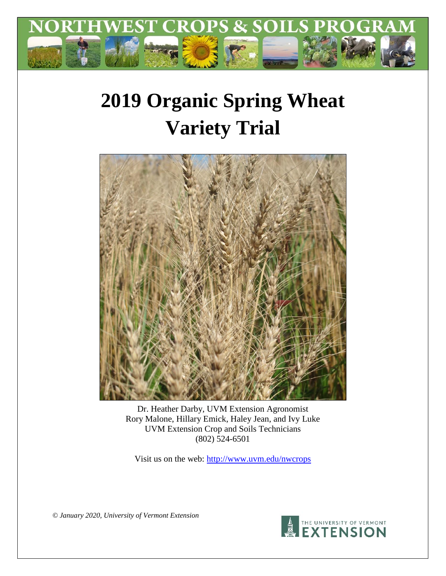

# **2019 Organic Spring Wheat Variety Trial**



Dr. Heather Darby, UVM Extension Agronomist Rory Malone, Hillary Emick, Haley Jean, and Ivy Luke UVM Extension Crop and Soils Technicians (802) 524-6501

Visit us on the web:<http://www.uvm.edu/nwcrops>

*© January 2020, University of Vermont Extension*

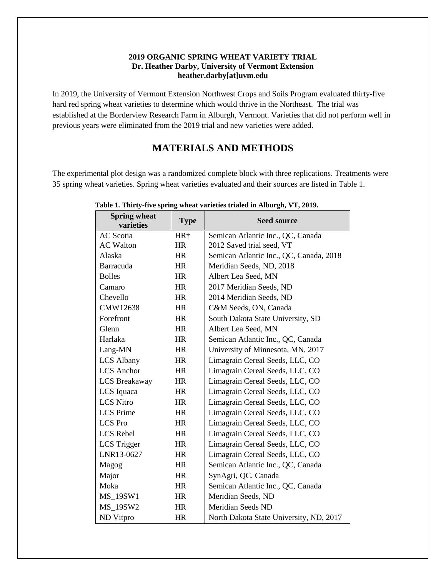### **2019 ORGANIC SPRING WHEAT VARIETY TRIAL Dr. Heather Darby, University of Vermont Extension heather.darby[at]uvm.edu**

In 2019, the University of Vermont Extension Northwest Crops and Soils Program evaluated thirty-five hard red spring wheat varieties to determine which would thrive in the Northeast. The trial was established at the Borderview Research Farm in Alburgh, Vermont. Varieties that did not perform well in previous years were eliminated from the 2019 trial and new varieties were added.

## **MATERIALS AND METHODS**

The experimental plot design was a randomized complete block with three replications. Treatments were 35 spring wheat varieties. Spring wheat varieties evaluated and their sources are listed in Table 1.

| <b>Spring wheat</b><br>varieties | <b>Type</b> | <b>Seed source</b>                      |  |
|----------------------------------|-------------|-----------------------------------------|--|
| <b>AC</b> Scotia                 | HR†         | Semican Atlantic Inc., QC, Canada       |  |
| <b>AC Walton</b>                 | HR          | 2012 Saved trial seed, VT               |  |
| Alaska                           | HR          | Semican Atlantic Inc., QC, Canada, 2018 |  |
| Barracuda                        | <b>HR</b>   | Meridian Seeds, ND, 2018                |  |
| <b>Bolles</b>                    | HR          | Albert Lea Seed, MN                     |  |
| Camaro                           | <b>HR</b>   | 2017 Meridian Seeds, ND                 |  |
| Chevello                         | <b>HR</b>   | 2014 Meridian Seeds, ND                 |  |
| CMW12638                         | <b>HR</b>   | C&M Seeds, ON, Canada                   |  |
| Forefront                        | <b>HR</b>   | South Dakota State University, SD       |  |
| Glenn                            | <b>HR</b>   | Albert Lea Seed, MN                     |  |
| Harlaka                          | <b>HR</b>   | Semican Atlantic Inc., QC, Canada       |  |
| Lang-MN                          | <b>HR</b>   | University of Minnesota, MN, 2017       |  |
| <b>LCS Albany</b>                | <b>HR</b>   | Limagrain Cereal Seeds, LLC, CO         |  |
| <b>LCS</b> Anchor                | HR          | Limagrain Cereal Seeds, LLC, CO         |  |
| <b>LCS</b> Breakaway             | HR          | Limagrain Cereal Seeds, LLC, CO         |  |
| LCS Iquaca                       | HR          | Limagrain Cereal Seeds, LLC, CO         |  |
| <b>LCS Nitro</b>                 | HR          | Limagrain Cereal Seeds, LLC, CO         |  |
| <b>LCS</b> Prime                 | HR          | Limagrain Cereal Seeds, LLC, CO         |  |
| <b>LCS</b> Pro                   | <b>HR</b>   | Limagrain Cereal Seeds, LLC, CO         |  |
| <b>LCS</b> Rebel                 | HR          | Limagrain Cereal Seeds, LLC, CO         |  |
| LCS Trigger                      | HR          | Limagrain Cereal Seeds, LLC, CO         |  |
| LNR13-0627                       | HR          | Limagrain Cereal Seeds, LLC, CO         |  |
| Magog                            | HR          | Semican Atlantic Inc., QC, Canada       |  |
| Major                            | HR          | SynAgri, QC, Canada                     |  |
| Moka                             | <b>HR</b>   | Semican Atlantic Inc., QC, Canada       |  |
| <b>MS 19SW1</b>                  | HR          | Meridian Seeds, ND                      |  |
| <b>MS_19SW2</b>                  | <b>HR</b>   | <b>Meridian Seeds ND</b>                |  |
| ND Vitpro                        | <b>HR</b>   | North Dakota State University, ND, 2017 |  |

#### **Table 1. Thirty-five spring wheat varieties trialed in Alburgh, VT, 2019.**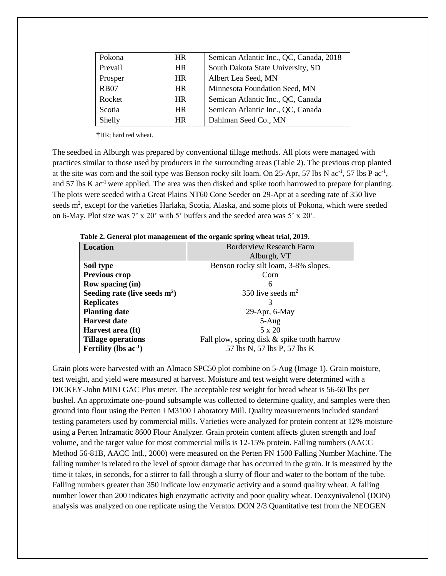| Pokona      | <b>HR</b> | Semican Atlantic Inc., QC, Canada, 2018 |
|-------------|-----------|-----------------------------------------|
| Prevail     | <b>HR</b> | South Dakota State University, SD       |
| Prosper     | <b>HR</b> | Albert Lea Seed, MN                     |
| <b>RB07</b> | <b>HR</b> | Minnesota Foundation Seed, MN           |
| Rocket      | <b>HR</b> | Semican Atlantic Inc., QC, Canada       |
| Scotia      | <b>HR</b> | Semican Atlantic Inc., QC, Canada       |
| Shelly      | <b>HR</b> | Dahlman Seed Co., MN                    |

†HR; hard red wheat.

The seedbed in Alburgh was prepared by conventional tillage methods. All plots were managed with practices similar to those used by producers in the surrounding areas (Table 2). The previous crop planted at the site was corn and the soil type was Benson rocky silt loam. On 25-Apr, 57 lbs N  $ac^{-1}$ , 57 lbs P  $ac^{-1}$ , and 57 lbs K ac<sup>-1</sup> were applied. The area was then disked and spike tooth harrowed to prepare for planting. The plots were seeded with a Great Plains NT60 Cone Seeder on 29-Apr at a seeding rate of 350 live seeds m<sup>2</sup>, except for the varieties Harlaka, Scotia, Alaska, and some plots of Pokona, which were seeded on 6-May. Plot size was 7' x 20' with 5' buffers and the seeded area was 5' x 20'.

| <b>Location</b>                 | <b>Borderview Research Farm</b>             |  |  |  |  |
|---------------------------------|---------------------------------------------|--|--|--|--|
|                                 | Alburgh, VT                                 |  |  |  |  |
| Soil type                       | Benson rocky silt loam, 3-8% slopes.        |  |  |  |  |
| <b>Previous crop</b>            | Corn                                        |  |  |  |  |
| Row spacing (in)                | 6                                           |  |  |  |  |
| Seeding rate (live seeds $m2$ ) | 350 live seeds $m2$                         |  |  |  |  |
| <b>Replicates</b>               |                                             |  |  |  |  |
| <b>Planting date</b>            | $29$ -Apr, 6-May                            |  |  |  |  |
| <b>Harvest date</b>             | $5-Aug$                                     |  |  |  |  |
| Harvest area (ft)               | 5 x 20                                      |  |  |  |  |
| <b>Tillage operations</b>       | Fall plow, spring disk & spike tooth harrow |  |  |  |  |
| Fertility (lbs $ac-1$ )         | 57 lbs N, 57 lbs P, 57 lbs K                |  |  |  |  |

 **Table 2. General plot management of the organic spring wheat trial, 2019.**

Grain plots were harvested with an Almaco SPC50 plot combine on 5-Aug (Image 1). Grain moisture, test weight, and yield were measured at harvest. Moisture and test weight were determined with a DICKEY-John MINI GAC Plus meter. The acceptable test weight for bread wheat is 56-60 lbs per bushel. An approximate one-pound subsample was collected to determine quality, and samples were then ground into flour using the Perten LM3100 Laboratory Mill. Quality measurements included standard testing parameters used by commercial mills. Varieties were analyzed for protein content at 12% moisture using a Perten Inframatic 8600 Flour Analyzer. Grain protein content affects gluten strength and loaf volume, and the target value for most commercial mills is 12-15% protein. Falling numbers (AACC Method 56-81B, AACC Intl., 2000) were measured on the Perten FN 1500 Falling Number Machine. The falling number is related to the level of sprout damage that has occurred in the grain. It is measured by the time it takes, in seconds, for a stirrer to fall through a slurry of flour and water to the bottom of the tube. Falling numbers greater than 350 indicate low enzymatic activity and a sound quality wheat. A falling number lower than 200 indicates high enzymatic activity and poor quality wheat. Deoxynivalenol (DON) analysis was analyzed on one replicate using the Veratox DON 2/3 Quantitative test from the NEOGEN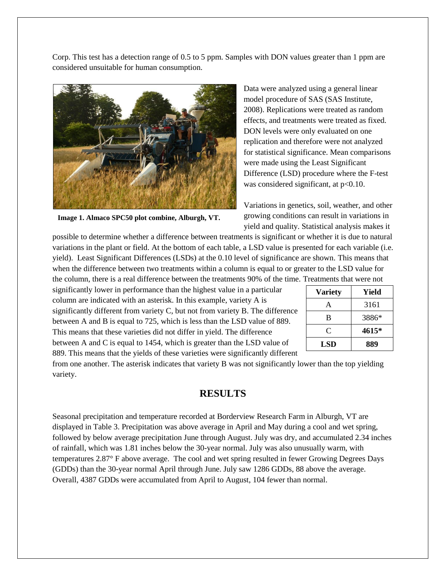Corp. This test has a detection range of 0.5 to 5 ppm. Samples with DON values greater than 1 ppm are considered unsuitable for human consumption.



**Image 1. Almaco SPC50 plot combine, Alburgh, VT.**

Data were analyzed using a general linear model procedure of SAS (SAS Institute, 2008). Replications were treated as random effects, and treatments were treated as fixed. DON levels were only evaluated on one replication and therefore were not analyzed for statistical significance. Mean comparisons were made using the Least Significant Difference (LSD) procedure where the F-test was considered significant, at p<0.10.

Variations in genetics, soil, weather, and other growing conditions can result in variations in yield and quality. Statistical analysis makes it

possible to determine whether a difference between treatments is significant or whether it is due to natural variations in the plant or field. At the bottom of each table, a LSD value is presented for each variable (i.e. yield). Least Significant Differences (LSDs) at the 0.10 level of significance are shown. This means that when the difference between two treatments within a column is equal to or greater to the LSD value for the column, there is a real difference between the treatments 90% of the time. Treatments that were not

significantly lower in performance than the highest value in a particular column are indicated with an asterisk. In this example, variety A is significantly different from variety C, but not from variety B. The difference between A and B is equal to 725, which is less than the LSD value of 889. This means that these varieties did not differ in yield. The difference between A and C is equal to 1454, which is greater than the LSD value of 889. This means that the yields of these varieties were significantly different

| <b>Variety</b> | Yield |  |  |  |  |
|----------------|-------|--|--|--|--|
|                | 3161  |  |  |  |  |
| B              | 3886* |  |  |  |  |
| C              | 4615* |  |  |  |  |
| <b>LSD</b>     | 889   |  |  |  |  |

from one another. The asterisk indicates that variety B was not significantly lower than the top yielding variety.

## **RESULTS**

Seasonal precipitation and temperature recorded at Borderview Research Farm in Alburgh, VT are displayed in Table 3. Precipitation was above average in April and May during a cool and wet spring, followed by below average precipitation June through August. July was dry, and accumulated 2.34 inches of rainfall, which was 1.81 inches below the 30-year normal. July was also unusually warm, with temperatures 2.87° F above average. The cool and wet spring resulted in fewer Growing Degrees Days (GDDs) than the 30-year normal April through June. July saw 1286 GDDs, 88 above the average. Overall, 4387 GDDs were accumulated from April to August, 104 fewer than normal.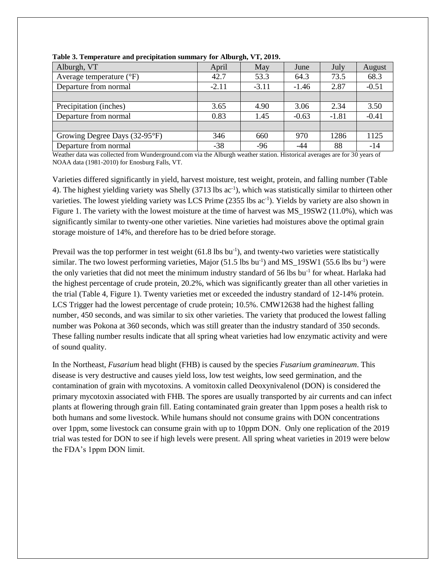| Alburgh, VT                       | April   | May                                                                             | June    | July          | August  |
|-----------------------------------|---------|---------------------------------------------------------------------------------|---------|---------------|---------|
| Average temperature $(^{\circ}F)$ | 42.7    | 53.3                                                                            | 64.3    | 73.5          | 68.3    |
| Departure from normal             | $-2.11$ | $-3.11$                                                                         | $-1.46$ | 2.87          | $-0.51$ |
|                                   |         |                                                                                 |         |               |         |
| Precipitation (inches)            | 3.65    | 4.90                                                                            | 3.06    | 2.34          | 3.50    |
| Departure from normal             | 0.83    | 1.45                                                                            | $-0.63$ | $-1.81$       | $-0.41$ |
|                                   |         |                                                                                 |         |               |         |
| Growing Degree Days (32-95°F)     | 346     | 660                                                                             | 970     | 1286          | 1125    |
| Departure from normal             | $-38$   | $-96$                                                                           | -44     | 88            | $-14$   |
| $\mathbf{v}$                      | .       | the contract of the contract of the contract of the contract of the contract of |         | $\sim$ $\sim$ |         |

**Table 3. Temperature and precipitation summary for Alburgh, VT, 2019.**

Weather data was collected from Wunderground.com via the Alburgh weather station. Historical averages are for 30 years of NOAA data (1981-2010) for Enosburg Falls, VT.

Varieties differed significantly in yield, harvest moisture, test weight, protein, and falling number (Table 4). The highest yielding variety was Shelly (3713 lbs ac<sup>-1</sup>), which was statistically similar to thirteen other varieties. The lowest yielding variety was LCS Prime (2355 lbs ac<sup>-1</sup>). Yields by variety are also shown in Figure 1. The variety with the lowest moisture at the time of harvest was MS 19SW2 (11.0%), which was significantly similar to twenty-one other varieties. Nine varieties had moistures above the optimal grain storage moisture of 14%, and therefore has to be dried before storage.

Prevail was the top performer in test weight (61.8 lbs bu<sup>-1</sup>), and twenty-two varieties were statistically similar. The two lowest performing varieties, Major (51.5 lbs bu<sup>-1</sup>) and MS\_19SW1 (55.6 lbs bu<sup>-1</sup>) were the only varieties that did not meet the minimum industry standard of 56 lbs bu<sup>-1</sup> for wheat. Harlaka had the highest percentage of crude protein, 20.2%, which was significantly greater than all other varieties in the trial (Table 4, Figure 1). Twenty varieties met or exceeded the industry standard of 12-14% protein. LCS Trigger had the lowest percentage of crude protein; 10.5%. CMW12638 had the highest falling number, 450 seconds, and was similar to six other varieties. The variety that produced the lowest falling number was Pokona at 360 seconds, which was still greater than the industry standard of 350 seconds. These falling number results indicate that all spring wheat varieties had low enzymatic activity and were of sound quality.

In the Northeast, *Fusarium* head blight (FHB) is caused by the species *Fusarium graminearum*. This disease is very destructive and causes yield loss, low test weights, low seed germination, and the contamination of grain with mycotoxins. A vomitoxin called Deoxynivalenol (DON) is considered the primary mycotoxin associated with FHB. The spores are usually transported by air currents and can infect plants at flowering through grain fill. Eating contaminated grain greater than 1ppm poses a health risk to both humans and some livestock. While humans should not consume grains with DON concentrations over 1ppm, some livestock can consume grain with up to 10ppm DON. Only one replication of the 2019 trial was tested for DON to see if high levels were present. All spring wheat varieties in 2019 were below the FDA's 1ppm DON limit.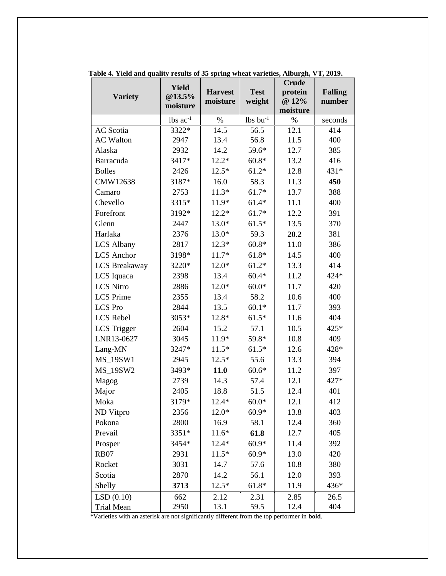| <b>Variety</b>       | <b>Yield</b><br>@13.5% | <b>Harvest</b> | <b>Test</b>            | <b>Crude</b><br>protein | <b>Falling</b> |
|----------------------|------------------------|----------------|------------------------|-------------------------|----------------|
|                      | moisture               | moisture       | weight                 | @ 12%<br>moisture       | number         |
|                      | lbs $ac^{-1}$          | $\%$           | $lbs$ bu <sup>-1</sup> | $\%$                    | seconds        |
| <b>AC</b> Scotia     | 3322*                  | 14.5           | 56.5                   | 12.1                    | 414            |
| <b>AC Walton</b>     | 2947                   | 13.4           | 56.8                   | 11.5                    | 400            |
| Alaska               | 2932                   | 14.2           | 59.6*                  | 12.7                    | 385            |
| Barracuda            | 3417*                  | $12.2*$        | $60.8*$                | 13.2                    | 416            |
| <b>Bolles</b>        | 2426                   | $12.5*$        | $61.2*$                | 12.8                    | 431*           |
| CMW12638             | 3187*                  | 16.0           | 58.3                   | 11.3                    | 450            |
| Camaro               | 2753                   | $11.3*$        | $61.7*$                | 13.7                    | 388            |
| Chevello             | 3315*                  | 11.9*          | $61.4*$                | 11.1                    | 400            |
| Forefront            | 3192*                  | $12.2*$        | $61.7*$                | 12.2                    | 391            |
| Glenn                | 2447                   | $13.0*$        | $61.5*$                | 13.5                    | 370            |
| Harlaka              | 2376                   | $13.0*$        | 59.3                   | 20.2                    | 381            |
| <b>LCS Albany</b>    | 2817                   | $12.3*$        | $60.8*$                | 11.0                    | 386            |
| <b>LCS</b> Anchor    | 3198*                  | 11.7*          | $61.8*$                | 14.5                    | 400            |
| <b>LCS</b> Breakaway | 3220*                  | $12.0*$        | $61.2*$                | 13.3                    | 414            |
| LCS Iquaca           | 2398                   | 13.4           | $60.4*$                | 11.2                    | 424*           |
| <b>LCS Nitro</b>     | 2886                   | $12.0*$        | $60.0*$                | 11.7                    | 420            |
| <b>LCS</b> Prime     | 2355                   | 13.4           | 58.2                   | 10.6                    | 400            |
| <b>LCS</b> Pro       | 2844                   | 13.5           | $60.1*$                | 11.7                    | 393            |
| <b>LCS</b> Rebel     | 3053*                  | 12.8*          | $61.5*$                | 11.6                    | 404            |
| <b>LCS</b> Trigger   | 2604                   | 15.2           | 57.1                   | 10.5                    | 425*           |
| LNR13-0627           | 3045                   | 11.9*          | 59.8*                  | 10.8                    | 409            |
| Lang-MN              | 3247*                  | $11.5*$        | $61.5*$                | 12.6                    | 428*           |
| <b>MS_19SW1</b>      | 2945                   | $12.5*$        | 55.6                   | 13.3                    | 394            |
| MS_19SW2             | 3493*                  | 11.0           | $60.6*$                | 11.2                    | 397            |
| Magog                | 2739                   | 14.3           | 57.4                   | 12.1                    | 427*           |
| Major                | 2405                   | 18.8           | 51.5                   | 12.4                    | 401            |
| Moka                 | 3179*                  | $12.4*$        | $60.0*$                | 12.1                    | 412            |
| ND Vitpro            | 2356                   | $12.0*$        | $60.9*$                | 13.8                    | 403            |
| Pokona               | 2800                   | 16.9           | 58.1                   | 12.4                    | 360            |
| Prevail              | 3351*                  | $11.6*$        | 61.8                   | 12.7                    | 405            |
| Prosper              | 3454*                  | $12.4*$        | $60.9*$                | 11.4                    | 392            |
| <b>RB07</b>          | 2931                   | $11.5*$        | $60.9*$                | 13.0                    | 420            |
| Rocket               | 3031                   | 14.7           | 57.6                   | 10.8                    | 380            |
| Scotia               | 2870                   | 14.2           | 56.1                   | 12.0                    | 393            |
| Shelly               | 3713                   | $12.5*$        | $61.8*$                | 11.9                    | 436*           |
| LSD(0.10)            | 662                    | 2.12           | 2.31                   | 2.85                    | 26.5           |
| Trial Mean           | 2950                   | 13.1           | 59.5                   | 12.4                    | 404            |

**Table 4. Yield and quality results of 35 spring wheat varieties, Alburgh, VT, 2019.**

\*Varieties with an asterisk are not significantly different from the top performer in **bold**.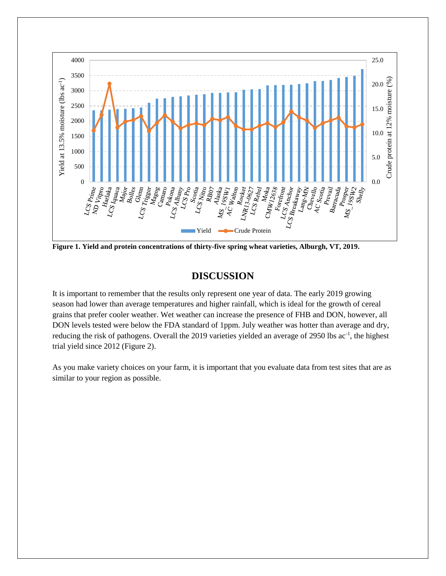

**Figure 1. Yield and protein concentrations of thirty-five spring wheat varieties, Alburgh, VT, 2019.**

## **DISCUSSION**

It is important to remember that the results only represent one year of data. The early 2019 growing season had lower than average temperatures and higher rainfall, which is ideal for the growth of cereal grains that prefer cooler weather. Wet weather can increase the presence of FHB and DON, however, all DON levels tested were below the FDA standard of 1ppm. July weather was hotter than average and dry, reducing the risk of pathogens. Overall the 2019 varieties yielded an average of 2950 lbs ac<sup>-1</sup>, the highest trial yield since 2012 (Figure 2).

As you make variety choices on your farm, it is important that you evaluate data from test sites that are as similar to your region as possible.